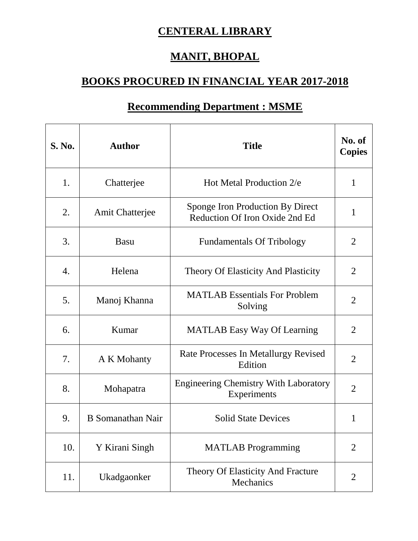## **CENTERAL LIBRARY**

## **MANIT, BHOPAL**

## **BOOKS PROCURED IN FINANCIAL YEAR 2017-2018**

| <b>S. No.</b> | <b>Author</b>          | <b>Title</b>                                                       | No. of<br><b>Copies</b> |
|---------------|------------------------|--------------------------------------------------------------------|-------------------------|
| 1.            | Chatterjee             | Hot Metal Production 2/e                                           | 1                       |
| 2.            | <b>Amit Chatterjee</b> | Sponge Iron Production By Direct<br>Reduction Of Iron Oxide 2nd Ed | 1                       |
| 3.            | <b>Basu</b>            | <b>Fundamentals Of Tribology</b>                                   | 2                       |
| 4.            | Helena                 | <b>Theory Of Elasticity And Plasticity</b>                         | $\overline{2}$          |
| 5.            | Manoj Khanna           | <b>MATLAB</b> Essentials For Problem<br>Solving                    | $\overline{2}$          |
| 6.            | Kumar                  | <b>MATLAB Easy Way Of Learning</b>                                 | $\overline{2}$          |
| 7.            | A K Mohanty            | Rate Processes In Metallurgy Revised<br>Edition                    | $\overline{2}$          |
| 8.            | Mohapatra              | <b>Engineering Chemistry With Laboratory</b><br>Experiments        | $\overline{2}$          |
| 9.            | B Somanathan Nair      | <b>Solid State Devices</b>                                         | 1                       |
| 10.           | Y Kirani Singh         | <b>MATLAB</b> Programming                                          | $\overline{2}$          |
| 11.           | Ukadgaonker            | Theory Of Elasticity And Fracture<br>Mechanics                     | $\overline{2}$          |

## **Recommending Department : MSME**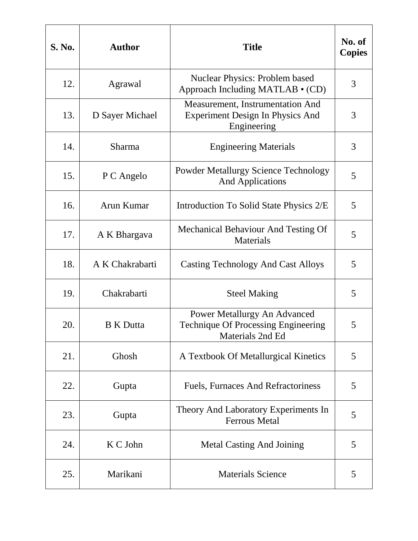| <b>S. No.</b> | <b>Author</b>    | <b>Title</b>                                                                                   | No. of<br><b>Copies</b> |
|---------------|------------------|------------------------------------------------------------------------------------------------|-------------------------|
| 12.           | Agrawal          | <b>Nuclear Physics: Problem based</b><br>Approach Including MATLAB • (CD)                      | 3                       |
| 13.           | D Sayer Michael  | Measurement, Instrumentation And<br><b>Experiment Design In Physics And</b><br>Engineering     | 3                       |
| 14.           | <b>Sharma</b>    | <b>Engineering Materials</b>                                                                   | 3                       |
| 15.           | P C Angelo       | <b>Powder Metallurgy Science Technology</b><br><b>And Applications</b>                         | 5                       |
| 16.           | Arun Kumar       | Introduction To Solid State Physics 2/E                                                        | 5                       |
| 17.           | A K Bhargava     | Mechanical Behaviour And Testing Of<br><b>Materials</b>                                        | 5                       |
| 18.           | A K Chakrabarti  | <b>Casting Technology And Cast Alloys</b>                                                      | 5                       |
| 19.           | Chakrabarti      | <b>Steel Making</b>                                                                            | 5                       |
| 20.           | <b>B</b> K Dutta | Power Metallurgy An Advanced<br><b>Technique Of Processing Engineering</b><br>Materials 2nd Ed | 5                       |
| 21.           | Ghosh            | A Textbook Of Metallurgical Kinetics                                                           | 5                       |
| 22.           | Gupta            | <b>Fuels, Furnaces And Refractoriness</b>                                                      | 5                       |
| 23.           | Gupta            | Theory And Laboratory Experiments In<br><b>Ferrous Metal</b>                                   | 5                       |
| 24.           | K C John         | <b>Metal Casting And Joining</b>                                                               | 5                       |
| 25.           | Marikani         | <b>Materials Science</b>                                                                       | 5                       |